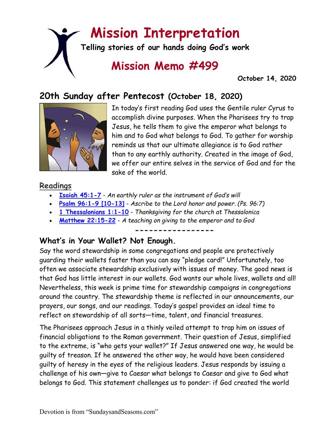# **Mission Interpretation**

**Telling stories of our hands doing God's work**

## **Mission Memo #499**

 **October 14, 2020**

### **20th Sunday after Pentecost (October 18, 2020)**



In today's first reading God uses the Gentile ruler Cyrus to accomplish divine purposes. When the Pharisees try to trap Jesus, he tells them to give the emperor what belongs to him and to God what belongs to God. To gather for worship reminds us that our ultimate allegiance is to God rather than to any earthly authority. Created in the image of God, we offer our entire selves in the service of God and for the sake of the world.

#### **Readings**

- **[Isaiah 45:1-7](https://members.sundaysandseasons.com/)** *An earthly ruler as the instrument of God's will*
- **[Psalm 96:1-9 \[10-13\]](https://members.sundaysandseasons.com/)** *Ascribe to the Lord honor and power. (Ps. 96:7)*
- **[1 Thessalonians 1:1-10](https://members.sundaysandseasons.com/)** *Thanksgiving for the church at Thessalonica*
- **[Matthew 22:15-22](https://members.sundaysandseasons.com/)** *A teaching on giving to the emperor and to God*

**-----------------**

#### **What's in Your Wallet? Not Enough.**

Say the word stewardship in some congregations and people are protectively guarding their wallets faster than you can say "pledge card!" Unfortunately, too often we associate stewardship exclusively with issues of money. The good news is that God has little interest in our wallets. God wants our whole lives, wallets and all! Nevertheless, this week is prime time for stewardship campaigns in congregations around the country. The stewardship theme is reflected in our announcements, our prayers, our songs, and our readings. Today's gospel provides an ideal time to reflect on stewardship of all sorts—time, talent, and financial treasures.

The Pharisees approach Jesus in a thinly veiled attempt to trap him on issues of financial obligations to the Roman government. Their question of Jesus, simplified to the extreme, is "who gets your wallet?" If Jesus answered one way, he would be guilty of treason. If he answered the other way, he would have been considered guilty of heresy in the eyes of the religious leaders. Jesus responds by issuing a challenge of his own—give to Caesar what belongs to Caesar and give to God what belongs to God. This statement challenges us to ponder: if God created the world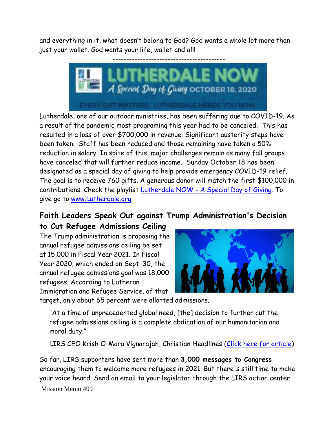and everything in it, what doesn't belong to God? God wants a whole lot more than just your wallet. God wants your life, wallet and all!



Lutherdale, one of our outdoor ministries, has been suffering due to COVID-19. As a result of the pandemic most programing this year had to be canceled. This has resulted in a loss of over \$700,000 in revenue. Significant austerity steps have been taken. Staff has been reduced and those remaining have taken a 50% reduction in salary. In spite of this, major challenges remain as many fall groups have canceled that will further reduce income. Sunday October 18 has been designated as a special day of giving to help provide emergency COVID-19 relief. The goal is to receive 760 gifts. A generous donor will match the first \$100,000 in contributions. Check the playlist Lutherdale NOW - [A Special Day of Giving.](https://www.facebook.com/watch/89657190569/1312304472449219/?__cft__%5b0%5d=AZXzxCu1NemvCXCiGU3HKvei2-WPZjuIyS2J93ulcshiAYaP6qoCiG_kUW1_2ECwkxDM3DrZjAL024P8oAJMVXYu2xiTHfk1zTfyES4RQqT1-g6MzTZcG3CUYiSWrKBG57NNDXA97h_zcCBF9GPXnVZAZg2IisS3DaAsKYcopbOd9-1-E47eTuTTAITpGZaiEcR8XEhf6sE9ClcMTa2CadHXvjFAHnADnfLG9pKd-r_FiQ&__tn__=C-R) To give go to [www.Lutherdale.org](http://www.lutherdale.org/)

#### **Faith Leaders Speak Out against Trump Administration's Decision**

**to Cut Refugee Admissions Ceiling**

The Trump administration is proposing the annual refugee admissions ceiling be set at 15,000 in Fiscal Year 2021. In Fiscal Year 2020, which ended on Sept. 30, the annual refugee admissions goal was 18,000 refugees. According to Lutheran Immigration and Refugee Service, of that



target, only about 65 percent were allotted admissions.

"At a time of unprecedented global need, [the] decision to further cut the refugee admissions ceiling is a complete abdication of our humanitarian and moral duty."

LIRS CEO Krish O'Mara Vignarajah, Christian Headlines [\(Click here for article\)](https://www.christianheadlines.com/blog/faith-leaders-speak-out-against-trump-administrations-decision-to-cut-refugee-admissions-ceiling.html?mc_cid=fb391c5786&mc_eid=9d05c2cfd9)

Mission Memo 499 So far, LIRS supporters have sent more than **3,000 messages to Congress** encouraging them to welcome more refugees in 2021. But there's still time to make your voice heard. Send an email to your legislator through the LIRS action center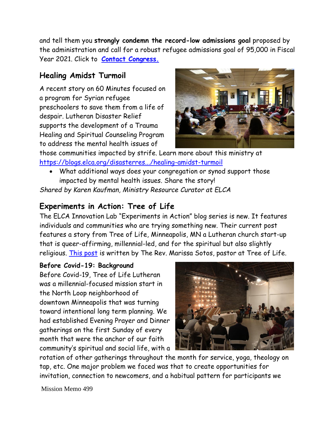and tell them you **strongly condemn the record-low admissions goal** proposed by the administration and call for a robust refugee admissions goal of 95,000 in Fiscal Year 2021. Click to **[Contact Congress.](https://lirs.us14.list-manage.com/track/click?u=1ba26e3c84448d9ea4814c790&id=7e8ee91900&e=9d05c2cfd9)**

#### **Healing Amidst Turmoil**

A recent story on 60 Minutes focused on a program for Syrian refugee preschoolers to save them from a life of despair. Lutheran Disaster Relief supports the development of a Trauma Healing and Spiritual Counseling Program to address the mental health issues of



those communities impacted by strife. Learn more about this ministry at [https://blogs.elca.org/disasterres.../healing-amidst-turmoil](https://blogs.elca.org/disasterresponse/healing-amidst-turmoil?fbclid=IwAR0p4dRdaqqfCtHDqzD8ZBf7P_Qx27MaaXvR38rRoZjvZ0r436EfnpTiFIM)

• What additional ways does your congregation or synod support those impacted by mental health issues. Share the story! *Shared by Karen Kaufman, Ministry Resource Curator at ELCA*

#### **Experiments in Action: Tree of Life**

The ELCA Innovation Lab "Experiments in Action" blog series is new. It features individuals and communities who are trying something new. Their current post features a story from Tree of Life, Minneapolis, MN a Lutheran church start-up that is queer-affirming, millennial-led, and for the spiritual but also slightly religious. [This post](https://blogs.elca.org/innovationlab/?p=120) is written by The Rev. Marissa Sotos, pastor at Tree of Life.

#### **Before Covid-19: Background**

Before Covid-19, Tree of Life Lutheran was a millennial-focused mission start in the North Loop neighborhood of downtown Minneapolis that was turning toward intentional long term planning. We had established Evening Prayer and Dinner gatherings on the first Sunday of every month that were the anchor of our faith community's spiritual and social life, with a



rotation of other gatherings throughout the month for service, yoga, theology on tap, etc. One major problem we faced was that to create opportunities for invitation, connection to newcomers, and a habitual pattern for participants we

Mission Memo 499